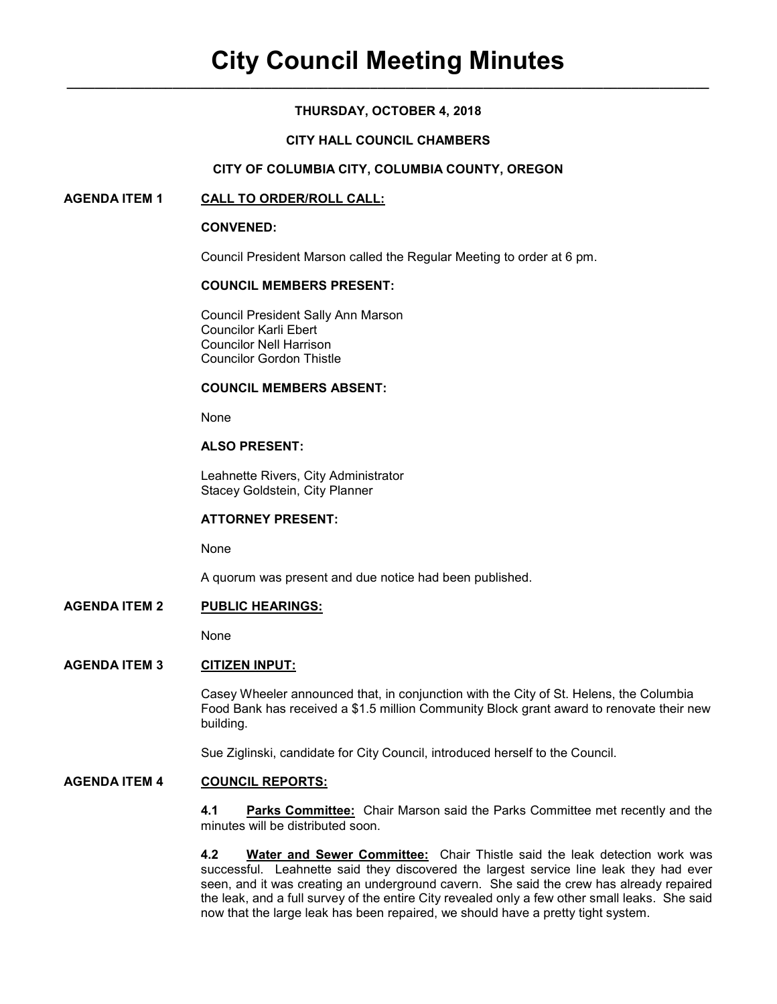# **THURSDAY, OCTOBER 4, 2018**

# **CITY HALL COUNCIL CHAMBERS**

### **CITY OF COLUMBIA CITY, COLUMBIA COUNTY, OREGON**

# **AGENDA ITEM 1 CALL TO ORDER/ROLL CALL:**

### **CONVENED:**

Council President Marson called the Regular Meeting to order at 6 pm.

# **COUNCIL MEMBERS PRESENT:**

 Council President Sally Ann Marson Councilor Karli Ebert Councilor Nell Harrison Councilor Gordon Thistle

# **COUNCIL MEMBERS ABSENT:**

None

# **ALSO PRESENT:**

Leahnette Rivers, City Administrator Stacey Goldstein, City Planner

### **ATTORNEY PRESENT:**

None

A quorum was present and due notice had been published.

# **AGENDA ITEM 2 PUBLIC HEARINGS:**

None

# **AGENDA ITEM 3 CITIZEN INPUT:**

Casey Wheeler announced that, in conjunction with the City of St. Helens, the Columbia Food Bank has received a \$1.5 million Community Block grant award to renovate their new building.

Sue Ziglinski, candidate for City Council, introduced herself to the Council.

# **AGENDA ITEM 4 COUNCIL REPORTS:**

**4.1 Parks Committee:** Chair Marson said the Parks Committee met recently and the minutes will be distributed soon.

**4.2 Water and Sewer Committee:** Chair Thistle said the leak detection work was successful. Leahnette said they discovered the largest service line leak they had ever seen, and it was creating an underground cavern. She said the crew has already repaired the leak, and a full survey of the entire City revealed only a few other small leaks. She said now that the large leak has been repaired, we should have a pretty tight system.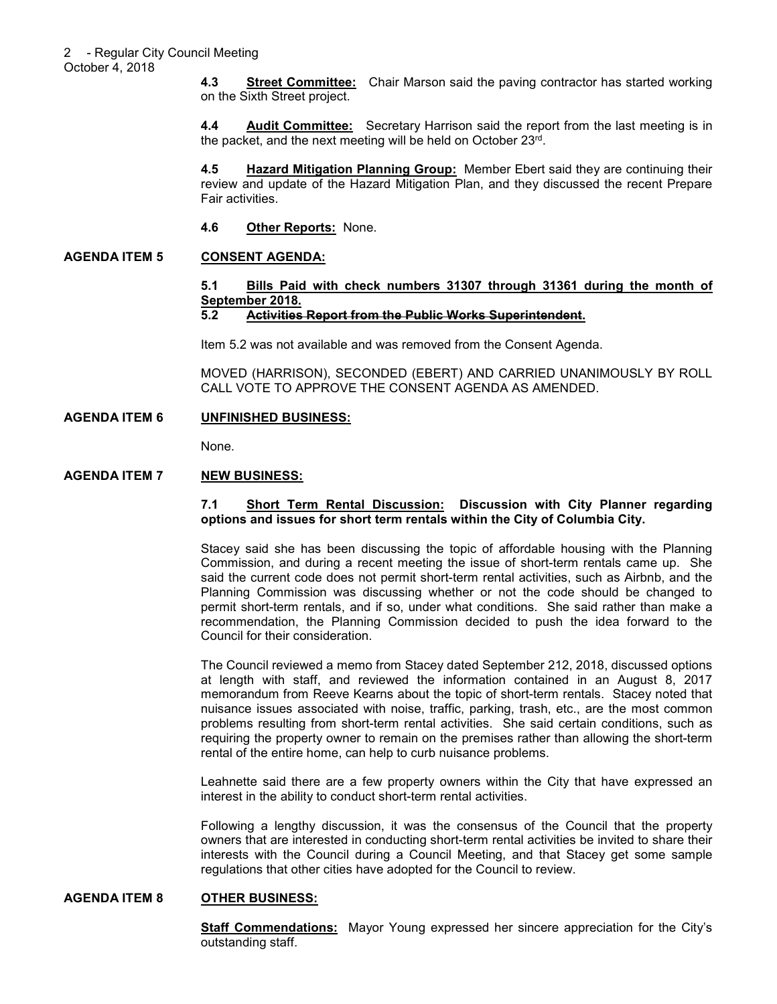**4.3 Street Committee:** Chair Marson said the paving contractor has started working on the Sixth Street project.

**4.4** Audit Committee: Secretary Harrison said the report from the last meeting is in the packet, and the next meeting will be held on October 23rd .

**4.5 Hazard Mitigation Planning Group:** Member Ebert said they are continuing their review and update of the Hazard Mitigation Plan, and they discussed the recent Prepare Fair activities.

**4.6 Other Reports:** None.

### **AGENDA ITEM 5 CONSENT AGENDA:**

# **5.1 Bills Paid with check numbers 31307 through 31361 during the month of September 2018.**

#### **5.2 Activities Report from the Public Works Superintendent.**

Item 5.2 was not available and was removed from the Consent Agenda.

MOVED (HARRISON), SECONDED (EBERT) AND CARRIED UNANIMOUSLY BY ROLL CALL VOTE TO APPROVE THE CONSENT AGENDA AS AMENDED.

### **AGENDA ITEM 6 UNFINISHED BUSINESS:**

None.

### **AGENDA ITEM 7 NEW BUSINESS:**

### **7.1 Short Term Rental Discussion: Discussion with City Planner regarding options and issues for short term rentals within the City of Columbia City.**

Stacey said she has been discussing the topic of affordable housing with the Planning Commission, and during a recent meeting the issue of short-term rentals came up. She said the current code does not permit short-term rental activities, such as Airbnb, and the Planning Commission was discussing whether or not the code should be changed to permit short-term rentals, and if so, under what conditions. She said rather than make a recommendation, the Planning Commission decided to push the idea forward to the Council for their consideration.

The Council reviewed a memo from Stacey dated September 212, 2018, discussed options at length with staff, and reviewed the information contained in an August 8, 2017 memorandum from Reeve Kearns about the topic of short-term rentals. Stacey noted that nuisance issues associated with noise, traffic, parking, trash, etc., are the most common problems resulting from short-term rental activities. She said certain conditions, such as requiring the property owner to remain on the premises rather than allowing the short-term rental of the entire home, can help to curb nuisance problems.

Leahnette said there are a few property owners within the City that have expressed an interest in the ability to conduct short-term rental activities.

Following a lengthy discussion, it was the consensus of the Council that the property owners that are interested in conducting short-term rental activities be invited to share their interests with the Council during a Council Meeting, and that Stacey get some sample regulations that other cities have adopted for the Council to review.

### **AGENDA ITEM 8 OTHER BUSINESS:**

**Staff Commendations:** Mayor Young expressed her sincere appreciation for the City's outstanding staff.